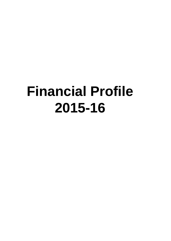# **Financial Profile 2015-16**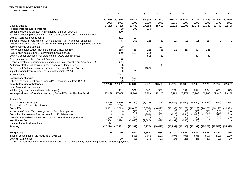#### **TEN YEAR BUDGET FORECAST** 2014-15 to 2024-2025

|                                                                                    | ŋ               |                      | $\mathbf{2}$    | 3               | 4               |                 | 6               | 7                     |                 | g               | 10              |
|------------------------------------------------------------------------------------|-----------------|----------------------|-----------------|-----------------|-----------------|-----------------|-----------------|-----------------------|-----------------|-----------------|-----------------|
| Year                                                                               | 2014/15<br>£000 | 2015/16<br>£000      | 2016/17<br>£000 | 2017/18<br>£000 | 2018/19<br>£000 | 2019/20<br>£000 | 2020/21<br>£000 | 2021/22<br>£000       | 2022/23<br>£000 | 2023/24<br>£000 | 2024/25<br>£000 |
| <b>Original Budget</b>                                                             | 17,228          | 17,228               | 17,482          | 17,884          | 18,619          | 19,125          | 19,701          | 20,276                | 20,742          | 21,763          | 22,426          |
| Pension increase and NI increase                                                   |                 | 90                   | 190             | 500             |                 |                 |                 |                       |                 |                 |                 |
| Dropping out of one off asset maintenance item from 2014-15                        |                 | (20)                 |                 |                 |                 |                 |                 |                       |                 |                 |                 |
| Full year effect of previous savings (car leasing, pension augmentation, London    |                 |                      |                 |                 |                 |                 |                 |                       |                 |                 |                 |
| Colney Recreation centre rent)                                                     |                 | (21)                 | (13)            |                 |                 |                 |                 |                       |                 |                 |                 |
| Impact of capital programme on revenue budget (MRP* and cost of capital)           |                 | 77                   | 158             | (15)            | 80              | (19)            | 11              | 11                    | (28)            | 9               | 2               |
| Revenue cost of CCOS (not the cost of borrowing which can be capitalised until the |                 |                      |                 |                 |                 |                 |                 |                       |                 |                 |                 |
| assets become operational)                                                         |                 | 90                   |                 |                 | (90)            |                 |                 |                       |                 |                 |                 |
| New Westminster Lodge- Revenue impact of new contract                              |                 | (158)                | (35)            | (21)            | 56              | 21              | (26)            | (60)                  | 326             |                 |                 |
| Reduction in costs of Early Retirements (pension strain)                           |                 | (50)                 | (118)           | (23)            |                 |                 |                 |                       |                 |                 |                 |
| County Council elections - reinstatement of SADC election costs                    |                 |                      |                 | (89)            | 89              |                 |                 | (89)                  | 89              |                 |                 |
| Asset reserve, mainly re Special Expenses                                          |                 | (8)                  |                 |                 |                 |                 |                 |                       |                 |                 |                 |
| Financial strategy- (excluding rates and council tax growth) (from Appendix FS)    |                 | (31)                 |                 |                 |                 |                 |                 |                       |                 |                 |                 |
| Additional staffing in Planning (funded from New Homes Bonus)                      |                 | 186                  |                 |                 | (186)           |                 |                 |                       |                 |                 |                 |
| Repairs and Parking backlog work funded from New Homes Bonus                       |                 | 160                  |                 | (160)           |                 |                 |                 |                       |                 |                 |                 |
| Impact of amendments agreed at Council December 2014                               |                 | $\Omega$             | 25              |                 |                 |                 |                 |                       |                 |                 |                 |
| Savings found                                                                      |                 | (917)                |                 |                 |                 |                 |                 |                       |                 |                 |                 |
| Contingency changes                                                                |                 | 200                  | (150)           |                 |                 |                 |                 |                       |                 |                 |                 |
| Other items from New Homes Bonus (P&D machines etc from 15/16)                     |                 | 175                  | (175)           |                 |                 |                 |                 |                       |                 |                 |                 |
| <b>Total before use of balances</b>                                                | 17,228          | 17,001               | 17,364          | 18,077          | 18,568          | 19,127          | 19,686          | 20,138                | 21,129          | 21,772          | 22,427          |
| Use of general fund balances                                                       |                 |                      |                 |                 |                 |                 |                 |                       |                 |                 |                 |
| Inflation (pay, non pay and fees and charges)                                      |                 | 481                  | 521             | 542             | 557             | 574             | 591             | 604                   | 634             | 653             | 673             |
| Net expenditure before Gov't support, Council Tax, Collection Fund                 | 17,228          | 17,482               | 17,884          | 18,619          | 19,125          | 19,701          | 20,276          | 20,742                | 21,763          | 22,426          | 23,100          |
|                                                                                    |                 |                      |                 |                 |                 |                 |                 |                       |                 |                 |                 |
| Funded By                                                                          |                 |                      |                 |                 |                 |                 |                 |                       |                 |                 |                 |
| <b>Total Government support</b>                                                    | (4,890)         | (4,260)              | (4, 160)        | (3,973)         | (3,805)         | (3,654)         | (3,654)         | (3,654)               | (3,654)         | (3,654)         | (3,654)         |
| Grant in aid of Council Tax Freeze                                                 | (107)           | (108)                |                 |                 |                 |                 |                 |                       |                 |                 |                 |
| <b>Council Tax</b>                                                                 |                 | $(9,951)$ $(10,013)$ | (10, 013)       | (10,053)        | (10,093)        | (10, 133)       | (10, 173)       | $(10,213)$ $(10,253)$ |                 | (10, 293)       | (10, 333)       |
| Increase in Council Tax base- growth in Band D properties                          | 0               | 0                    | (40)            | (40)            | (40)            | (40)            | (40)            | (40)                  | (40)            | (40)            | (40)            |
| Council tax increase (at 2%) in years from 2017/18 onwards                         | $\Omega$        | $\Omega$             | $\Omega$        | (201)           | (407)           | (618)           | (834)           | (1,054)               | (1,281)         | (1,512)         | (1,749)         |
| Transfer from collection fund (Net Council Tax and NNDR position)                  | (20)            | (108)                | (50)            | (50)            | (50)            | (50)            | (50)            | (50)                  | (50)            | (50)            | (50)            |
| New Homes Bonus                                                                    | (2, 354)        | (2,994)              | (3,040)         | (2,660)         | (2,096)         | (1, 497)        | (686)           | (150)                 | $\mathbf 0$     | $\mathbf 0$     | $\Omega$        |
| <b>Localisation of Business Rate</b>                                               | 94              |                      |                 |                 |                 |                 |                 |                       |                 |                 |                 |
| <b>Funding</b>                                                                     | (17, 228)       | (17, 482)            | (17, 302)       | (16, 977)       | (16, 490)       | (15, 991)       | (15, 436)       | (15, 161)             | (15, 277)       | (15, 548)       | (15, 825)       |
| <b>Budget Gap</b>                                                                  | 0               | (0)                  | 582             | 1,643           | 2,635           | 3,710           | 4,841           | 5,582                 | 6,486           | 6,877           | 7,275           |
| Inflation assumption in the model after 2015-16                                    |                 |                      | 3.0%            | 3.0%            | 3.0%            | 3.0%            | 3.0%            | 3.0%                  | 3.0%            | 3.0%            | 3.0%            |
| Council Tax increase                                                               |                 | 0%                   | $0\%$           | 2%              | 2%              | 2%              | 2%              | 2%                    | 2%              | 2%              | 2%              |
| $\sim$ CADO is stated.<br>Dealer Staff                                             |                 |                      |                 |                 |                 |                 |                 |                       |                 |                 |                 |

\*MRP- Minimum Revenue Provision- the amount SADC is statutorily required to put aside for debt repayment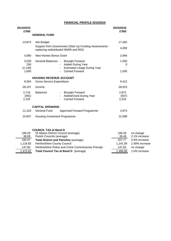## **FINANCIAL PROFILE 2015/2016**

| 2014/2015<br>£'000                |                                                                                                   |                                                                                                                                         | 2015/2016<br>£'000      |                         |
|-----------------------------------|---------------------------------------------------------------------------------------------------|-----------------------------------------------------------------------------------------------------------------------------------------|-------------------------|-------------------------|
|                                   | <b>GENERAL FUND</b>                                                                               |                                                                                                                                         |                         |                         |
| 14,874                            | Net Budget                                                                                        |                                                                                                                                         | 17,482                  |                         |
|                                   |                                                                                                   | Support from Government (Start Up Funding Assessment) -<br>replacing redistributed NNDR and RSG                                         | 4,260                   |                         |
| 4,890                             | New Homes Bonus Grant                                                                             |                                                                                                                                         | 2,994                   |                         |
| 3,539<br>250<br>(2, 139)<br>1,650 |                                                                                                   | General Balances - Brought Forward<br>- Added During Year<br><b>Estimated Usage During Year</b><br>$\sim 100$<br><b>Carried Forward</b> | 1,500<br>0<br>1,500     |                         |
|                                   | <b>HOUSING REVENUE ACCOUNT</b>                                                                    |                                                                                                                                         |                         |                         |
| 9.264                             | <b>Gross Service Expenditure</b>                                                                  |                                                                                                                                         | 9,412                   |                         |
| 28,107                            | Income                                                                                            |                                                                                                                                         | 28,023                  |                         |
| 2,716<br>(491)<br>2,225           | <b>Balances</b>                                                                                   | - Brought Forward<br>Added/Used During Year<br><b>Carried Forward</b>                                                                   | 2,873<br>(557)<br>2,316 |                         |
|                                   | <b>CAPITAL SPENDING</b>                                                                           |                                                                                                                                         |                         |                         |
| 11,103                            | <b>General Fund</b>                                                                               | Approved Forward Programme                                                                                                              | 2,873                   |                         |
| 10,607                            | Housing Investment Programme                                                                      |                                                                                                                                         | 12,088                  |                         |
| 168.28<br>38. RQ                  | <b>COUNCIL TAX at Band D</b><br>St Albans District Council (average)<br>Parish Councils (average) |                                                                                                                                         | 168.28<br>30 AQ         | no change<br>2 1% incre |

| 38.69    | Parish Councils (average)                           | 39.49    | 2.1% increase  |
|----------|-----------------------------------------------------|----------|----------------|
| 206.97   | <b>Total District and Parishes (average)</b>        | 207.77   | 0.4% increase  |
| 1.118.83 | <b>Hertfordshire County Council</b>                 | 1.141.09 | 1.99% increase |
| 147.82   | Hertfordshire Police and Crime Commissioner Precept | 147.82   | no change      |
| 1,473.62 | Total Council Tax at Band D (average)               | 1,496.68 | 1.6% increase  |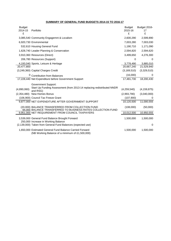## **SUMMARY OF GENERAL FUND BUDGETS 2014-15 TO 2016-17**

| <b>Budget</b><br>2014-15<br>£ | Portfolio                                                                                                         | <b>Budget</b><br>2015-16<br>£ | Budget 2016-<br>17<br>£ |
|-------------------------------|-------------------------------------------------------------------------------------------------------------------|-------------------------------|-------------------------|
|                               | 3,085,540 Community Engagemnt & Localism                                                                          | 2,600,290                     | 2,599,890               |
|                               | 6,920,730 Environmental                                                                                           | 7,003,280                     | 7,003,030               |
|                               | 532,610 Housing General Fund                                                                                      | 1,190,710                     | 1,171,090               |
|                               | 1,628,740 Leader Planning & Conservation                                                                          | 2,594,820                     | 2,594,620               |
|                               | 3,910,360 Resources (Direct)                                                                                      | 3,499,650                     | 4,276,300               |
|                               | 206,780 Resources (Support)                                                                                       | $\Omega$                      | 0                       |
|                               | 4,193,040 Sports, Leisure & Heritage                                                                              | 3,778,490                     | 3,885,010               |
| 20,477,800                    |                                                                                                                   | 20,667,240                    | 21,529,940              |
|                               | (3,249,360) Capital Charges Credit                                                                                | (3, 169, 510)                 | (3,329,510)             |
|                               | <sup>0</sup> Contribution from Balances                                                                           | (16,000)                      | 0                       |
|                               | 17,228,440 Net Expenditure before Government Support                                                              | 17,481,730                    | 18,200,430              |
| (4,890,060)                   | <b>Government Support:</b><br>Start Up Funding Assessment (from 2013-14 replacing redistributed NNDR<br>and RSG)  | (4,259,540)                   | (4, 159, 875)           |
|                               | (2,354,480) New Homes Bonus                                                                                       | (2,993,790)                   | (3,040,000)             |
|                               | (106,900) Council Tax Freeze Grant                                                                                | (107,900)                     | 0                       |
|                               | 9,877,000 NET EXPENDITURE AFTER GOVERNMENT SUPPORT                                                                | 10.120.500                    | 11,000,555              |
|                               | (20,000) BALANCE TRANSFERRED FROM COLLECTION FUND<br>94,000 BALANCE TRANSFERRED TO BUSINESS RATES COLLECTION FUND | (108,000)                     | (50,000)                |
|                               | 9,951,000 NET REQUIREMENT FROM COUNCIL TAXPAYERS                                                                  | 10,012,500                    | 10,950,555              |
|                               | 3,539,000 General Fund Balance Brought Forward<br>250,000 Increase in Working Balance                             | 1,500,000                     | 1,500,000               |
|                               | (2,139,000) Taken from General Fund Balances (expected use)                                                       |                               | 0                       |
|                               | 1,650,000 Estimated General Fund Balance Carried Forward<br>(NB Working Balance of a minimum of £1,500,000)       | 1,500,000                     | 1,500,000               |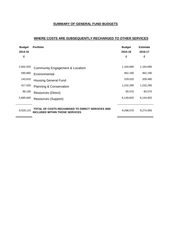# **SUMMARY OF GENERAL FUND BUDGETS**

# **WHERE COSTS ARE SUBSEQUENTLY RECHARGED TO OTHER SERVICES**

| <b>Budget</b><br>2014-15<br>£ | <b>Portfolio</b>                                                                         | <b>Budget</b><br>2015-16<br>£ | <b>Estimate</b><br>2016-17<br>£ |
|-------------------------------|------------------------------------------------------------------------------------------|-------------------------------|---------------------------------|
| 2,602,520                     | <b>Community Engagement &amp; Localism</b>                                               | 1,164,690                     | 1,164,690                       |
| 590,860                       | Environmental                                                                            | 462,190                       | 462,190                         |
| 143,610                       | <b>Housing General Fund</b>                                                              | 229,010                       | 209,490                         |
| 417,020                       | <b>Planning &amp; Conservation</b>                                                       | 1,232,290                     | 1,232,290                       |
| 89,160                        | Resources (Direct)                                                                       | 60,570                        | 60,570                          |
| 5,685,940                     | Resources (Support)                                                                      | 6,149,820                     | 6,144,820                       |
| 9,529,110                     | TOTAL OF COSTS RECHARGED TO DIRECT SERVICES AND<br><b>INCLUDED WITHIN THOSE SERVICES</b> | 9,298,570                     | 9,274,050                       |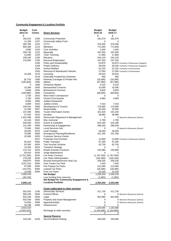## **Community Engagement & Localism Portfolio**

| <b>Budget</b> | Cost          |                                       | <b>Budget</b> | <b>Budget</b>               |                                        |
|---------------|---------------|---------------------------------------|---------------|-----------------------------|----------------------------------------|
| 2014-15       | <b>Centre</b> | <b>Direct Services</b>                | 2015-16       | 2016-17                     |                                        |
| £             |               |                                       | £             | £                           |                                        |
| 192,010       | 1205          | <b>Community Protection</b>           | 181,570       | 181,570                     |                                        |
| 11,200        | 1207          | <b>Community Safety Fund</b>          | 0             | 0                           |                                        |
| 284,780       | 1210          | CCTV                                  | 376,300       | 376,300                     |                                        |
| 692,360       | 1215          | <b>Members</b>                        | 772,600       | 772,600                     |                                        |
| 3,890         | 1220          | <b>Civic Activities</b>               | 1,640         | 1,640                       |                                        |
| 200,730       | 1222          | Mayoralty                             | 187,050       | 187,050                     |                                        |
| 13,660        | 1225          | Town Twinning                         | 17,860        | 17,860                      |                                        |
| 238,160       | 1230          | Elections                             | 244,120       | 244,120                     |                                        |
| 215,850       | 1235          | <b>Electoral Registration</b>         | 197,250       | 197,250                     |                                        |
|               | 1256          | Policy and Sustainability             | 53,870        |                             | 53,870 Formerly in Resources (Support) |
|               | 1259          | <b>Project Delivery</b>               | 28,030        |                             |                                        |
|               |               |                                       |               |                             | 28,030 Formerly in Resources (Support) |
|               | 1540<br>1545  | Animal Welfare                        | 52,220        |                             | 52,220 Formerly in Environment         |
|               | 1575          | Removal of Abandoned Vehicles         | 27,050        |                             | 27,050 Formerly in Environment         |
| 34,300        |               | Licensing                             | 29,010        | 29,010                      |                                        |
|               | 1578          | <b>Externally FundedTaxi Schemes</b>  | 460           | 460                         |                                        |
| (8,770)       | 1580          | Hackney Carriages & Private Hire      | (18, 380)     | (18, 380)                   |                                        |
| (185,900)     | 1585          | Market                                | (67,080)      | (67,080)                    |                                        |
| 0             | 1586          | <b>Christmas Market</b>               | 6,410         | 6,410                       |                                        |
| 10,390        | 2635          | Nomansland Common                     | 10,590        | 10,590                      |                                        |
| 8,660         | 2640          | <b>Bricketwood Common</b>             | 8,820         | 8,820                       |                                        |
| (100, 990)    | 2800          | Cemeteries                            | (88,000)      | (88,000)                    |                                        |
| 2,750         | 2810          | West Herts Crematorium                | 0             | 0                           |                                        |
| 3,760         | 2820          | Closed Churchyards                    | 4,080         | 4,080                       |                                        |
| 8,950         | 2900          | Jubilee Restaurant                    |               |                             |                                        |
| 6,800         | 2910          | <b>Jubilee Centre</b>                 | 7,010         | 7,010                       |                                        |
| 249,510       | 3056          | Development & Tourism                 | 176,060       | 176,060                     |                                        |
| 31,260        | 3057          | Shopmobility                          | 32,930        | 32,930                      |                                        |
| 157,460       | 3062          | <b>Tourist Information Centre</b>     | 161,320       | 161,320                     |                                        |
| 37,520        | 3510          | Scrutiny                              | 38,980        | 38,980                      |                                        |
| 1,022,490     | 3540          | Democratic Represent & Management     | 0             |                             | 0 Moved to Resources (Direct)          |
| 44,140        | 5002          | War memorial                          | 2,790         | 2,790                       |                                        |
| 550,560       | 5015          | Grants & Subsidies                    | 524,180       | 524,180                     |                                        |
| 141,340       | 5060          | Partnership & Engagement              | 286,030       | 286,030                     |                                        |
| 72,840        | 5062          | <b>Local Services Hub</b>             | 0             |                             | 0 Moved to Resources (Direct)          |
| 34,920        | 5075          | <b>Land Charges</b>                   | 26,000        | 26,000                      |                                        |
| 78,080        | 5080          | <b>Emergency Planning/Resilience</b>  | 101,780       | 101,780                     |                                        |
| 25,060        | 5525          | <b>Customer Service Centre</b>        |               |                             |                                        |
|               | 5547          | <b>Protection from Eviction</b>       | 12,800        |                             | 12,800 Formerly in Resources (Direct)  |
| 81,810        | 6000          | <b>Public Transport</b>               | 97,200        | 97,200                      |                                        |
| 62,500        | 6005          | <b>Taxi Voucher Scheme</b>            | 62,730        | 62,730                      |                                        |
| 15,450        | 6010          | <b>Transport Strategy</b>             | 0             | 0                           |                                        |
| 113,710       | 6020          | Roads Amenity Functions               | 150,980       | 150,980                     |                                        |
| 63,910        | 6030          | Verge Maintenance                     | 0             | 0                           |                                        |
| (1,751,280)   | 6035          | <b>Car Parks Contract</b>             |               | $(1,767,040)$ $(1,767,040)$ |                                        |
| 178,250       | 6040          | Car Parks Administration              | (105, 380)    | (105, 430)                  |                                        |
| 209,870       | 6045          | Russell Avenue/Drovers Way Car        | 209,330       | 209,330                     |                                        |
| (125, 210)    | 6050          | Civic Centre Car Park                 | 7,040         | 7,040                       |                                        |
| 97,590        | 6055          | Fee Paying Car Parks                  | 212,060       | 212,060                     |                                        |
| (44,070)      | 6060          | <b>Leased Car Parks</b>               | (28, 390)     | (28, 390)                   |                                        |
| 12,940        | 6065          | Free Car Parks                        | 22,320        | 22,320                      |                                        |
| 2,993,240     |               | <b>Net Budget</b>                     | 2,256,200     | 2,256,150                   |                                        |
| (38, 130)     |               | Less funding from reserves            | (1,950)       | (1,950)                     |                                        |
|               |               | Net Budget for Community Engagement & |               |                             |                                        |
| 2,955,110     |               | <b>Localism Portfolio</b>             | 2,254,250     | 2,254,200                   |                                        |
|               |               |                                       |               |                             |                                        |
|               |               | Costs reallocated to other services   |               |                             |                                        |
| 501,620       | 1245          | <b>Democratic Services</b>            | 511,730       | 511,730                     |                                        |
| 906,230       | 5500          | <b>Central Offices</b>                | 0             |                             | 0 Moved to Resources (Direct)          |
| 632,340       | 5545          | Legal                                 | 652,960       | 652,960                     |                                        |
| 502,540       | 5560          | Property and Asset Management         | 0             |                             | 0 Moved to Resources (Direct)          |
| 15,000        | 5568          | Apprenticeships                       | 0             |                             | 0 Moved to Resources (Direct)          |
| 44,790        | 6400          | Infrastructure                        | 0             | 0                           |                                        |
| 2,602,520     |               |                                       | 1,164,690     | 1,164,690                   |                                        |
| (2,602,520)   |               | Recharge to other services            | (1, 164, 690) | (1, 164, 690)               |                                        |
| 0             |               |                                       | 0             | 0                           |                                        |
|               |               | <b>Special Reserve</b>                |               |                             |                                        |
| 130,430       | 6100          | <b>Decriminalised Parking</b>         | 346,040       | 345,690                     |                                        |
|               |               |                                       |               |                             |                                        |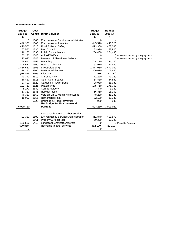## **Environmental Portfolio**

| <b>Budget</b> | Cost |                                              | <b>Budget</b> | <b>Budget</b> |                                   |
|---------------|------|----------------------------------------------|---------------|---------------|-----------------------------------|
| 2014-15       |      | <b>Centre Direct Services</b>                | 2015-16       | 2016-17       |                                   |
| £             |      |                                              | £             | £             |                                   |
| 0             | 1500 | <b>Environmental Services Administration</b> | 0             | $\mathbf 0$   |                                   |
| 449.350       | 1505 | <b>Environmental Protection</b>              | 445.520       | 445.520       |                                   |
| 420,500       | 1520 | Food & Health Safety                         | 473,360       | 473,360       |                                   |
| 67,550        | 1530 | Pest Control                                 | 53,920        | 53,920        |                                   |
| 216,180       | 1535 | <b>Public Conveniences</b>                   | 254,480       | 254,480       |                                   |
| 53,170        | 1540 | <b>Animal Welfare</b>                        | 0             |               | 0 Moved to Community & Engagement |
| 23,090        | 1545 | Removal of Abandoned Vehicles                | 0             |               | 0 Moved to Community & Engagement |
| 1,765,690     | 1555 | Recycling                                    | 1,744,180     | 1,744,130     |                                   |
| 1,809,630     | 1560 | <b>Refuse Collection</b>                     | 1,761,970     | 1,761,920     |                                   |
| 1,434,530     | 1565 | <b>Street Cleansing</b>                      | 1,477,030     | 1,477,030     |                                   |
| 326,250       | 2600 | Parks Administration                         | 309,630       | 309,480       |                                   |
| (10, 820)     | 2605 | Allotments                                   | (7,780)       | (7,780)       |                                   |
| 43,340        | 2610 | <b>Clarence Park</b>                         | 71,220        | 71,220        |                                   |
| 16,410        | 2615 | Other Open Spaces                            | 64,880        | 64,880        |                                   |
| 27,400        | 2620 | Gardens & Flower Beds                        | 28,080        | 28,080        |                                   |
| 191,410       | 2625 | Playgrounds                                  | 175,760       | 175,760       |                                   |
| 8,270         | 2630 | <b>Central Nursery</b>                       | 3,340         | 3,340         |                                   |
| 17,310        | 2645 | <b>Railway Trails</b>                        | 16,350        | 16,350        |                                   |
| 46,380        | 2650 | Verulamium & Westminster Lodge               | 48,280        | 48,280        |                                   |
| 15,090        | 2655 | <b>Rothamsted Park</b>                       | 82,130        | 82,130        |                                   |
|               | 6025 | Drainage & Flood Prevention                  | 930           | 930           |                                   |
|               |      | <b>Net Budget for Environmental</b>          |               |               |                                   |
| 6,920,730     |      | <b>Portfolio</b>                             | 7,003,280     | 7,003,030     |                                   |
|               |      |                                              |               |               |                                   |
|               |      | Costs reallocated to other services          |               |               |                                   |
| 401,330       | 1500 | <b>Environmental Services Administration</b> | 411,870       | 411,870       |                                   |
|               | 5561 | Property & Asset Mgt                         | 50,320        | 50,320        |                                   |
| 189,530       | 6410 | Landscape Architect, Arborists               | 0             |               | 0 Moved to Planning               |
| (590, 860)    |      | Recharge to other services                   | (462, 190)    | (462, 190)    |                                   |
| 0             |      |                                              | 0             | 0             |                                   |
|               |      |                                              |               |               |                                   |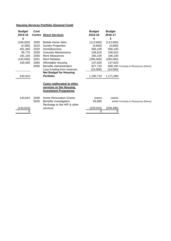# **Housing Services Portfolio (General Fund)**

| <b>Budget</b> | Cost          |                                   | <b>Budget</b> | <b>Budget</b> |                                        |
|---------------|---------------|-----------------------------------|---------------|---------------|----------------------------------------|
| 2014-15       | <b>Centre</b> | <b>Direct Services</b>            | 2015-16       | 2016-17       |                                        |
| £             |               |                                   | £             | £             |                                        |
| (106, 830)    | 2000          | Mobile Home Sites                 | (113, 840)    | (113, 840)    |                                        |
| (4,280)       | 2010          | <b>Sundry Properties</b>          | (4,600)       | (4,600)       |                                        |
| 401,460       | 2020          | <b>Homelessness</b>               | 566,100       | 566,100       |                                        |
| 95,770        | 2030          | <b>Grounds Maintenance</b>        | 106,610       | 106,610       |                                        |
| 191,100       | 2050          | <b>Rent Allowances</b>            | 190,100       | 190,100       |                                        |
| (145,000)     | 2051          | <b>Rent Rebates</b>               | (295,000)     | (295,000)     |                                        |
| 100,390       | 2065          | Affordable Housing                | 137,620       | 137,620       |                                        |
|               | 5050          | <b>Benefits Administration</b>    | 627,720       |               | 608,100 Formerly in Resources (Direct) |
|               |               | Less funding from reserves        | (24,000)      | (24,000)      |                                        |
|               |               | <b>Net Budget for Housing</b>     |               |               |                                        |
| 532,610       |               | <b>Portfolio</b>                  | 1,190,710     | 1,171,090     |                                        |
|               |               |                                   |               |               |                                        |
|               |               | <b>Costs reallocated to other</b> |               |               |                                        |
|               |               | services or the Housing           |               |               |                                        |
|               |               | <b>Investment Programme</b>       |               |               |                                        |
|               |               |                                   |               |               |                                        |
| 143,610       | 2040          | <b>Home Renovation Grants</b>     | 169050        | 169050        |                                        |
|               | 5055          | Benefits investigation            | 59,960        |               | 40440 Formerly in Resources (Direct)   |
|               |               | Recharge to the HIP & other       |               |               |                                        |
| (143,610)     |               | services                          | (229,010)     | (209, 490)    |                                        |
|               |               |                                   | 0             |               |                                        |
|               |               |                                   |               |               |                                        |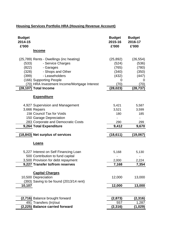# **Housing Services Portfolio HRA (Housing Revenue Account)**

| <b>Budget</b><br>2014-15<br>£'000                                                                                                                                          | <b>Budget</b><br>2015-16<br>£'000     | <b>Budget</b><br>2016-17<br>£'000     |
|----------------------------------------------------------------------------------------------------------------------------------------------------------------------------|---------------------------------------|---------------------------------------|
| <u>Income</u>                                                                                                                                                              |                                       |                                       |
| (25,789) Rents - Dwellings (inc heating)<br>- Service Charges<br>(533)<br>(822)<br>- Garages<br>- Shops and Other<br>(328)                                                 | (25, 892)<br>(524)<br>(765)<br>(340)  | (26, 554)<br>(536)<br>(780)<br>(350)  |
| - Leaseholders<br>(399)<br>(166) Supporting People<br>(70) HRA Investment Income/Mortgage Interest<br>(28,107) Total Income                                                | (432)<br>0<br>(70)<br>(28, 023)       | (447)<br>0<br>(70)<br>(28, 737)       |
| <b>Expenditure</b>                                                                                                                                                         |                                       |                                       |
| 4,927 Supervision and Management<br>3,666 Repairs<br>238 Council Tax for Voids<br>150 Garage Depreciation<br>283 Corporate and Democratic Costs<br>9,264 Total Expenditure | 5,421<br>3,521<br>180<br>290<br>9,412 | 5,587<br>3,599<br>185<br>299<br>9,670 |
| (18,843) Net surplus of services                                                                                                                                           | (18, 611)                             | (19,067)                              |
| <b>Loans</b>                                                                                                                                                               |                                       |                                       |
| 5,227 Interest on Self Financing Loan<br>500 Contribution to fund capital<br>3,500 Provision for debt repayment<br>9,227 Transfer to/from reserves                         | 5,168<br>2,000<br>7,168               | 5,130<br>2,224<br>7,354               |
| <b>Capital Charges</b><br>10,500 Depreciation<br>(393) Saving to be found (2013/14 rent)<br>10,107                                                                         | 12,000<br>12,000                      | 13,000<br>13,000                      |
|                                                                                                                                                                            |                                       |                                       |
| (2,716) Balance brought forward<br>491 Transfers (In)/out<br>(2,225) Balance carried forward                                                                               | (2, 873)<br>557<br>(2, 316)           | (2, 316)<br>1,287<br>(1,029)          |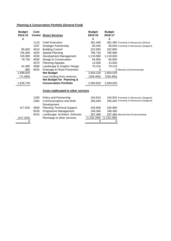# **Planning & Conservation Portfolio (General Fund)**

| <b>Budget</b> | Cost          |                                            | <b>Budget</b> | <b>Budget</b> |                                         |
|---------------|---------------|--------------------------------------------|---------------|---------------|-----------------------------------------|
| 2014-15       | <b>Centre</b> | <b>Direct Services</b>                     | 2015-16       | 2016-17       |                                         |
| £             |               |                                            | £             | £             |                                         |
|               | 1110          | <b>Chief Executive</b>                     | 361,460       |               | 361,460 Formerly in Resources (Direct)  |
|               | 1257          | Strategic Partnership                      | 85,040        |               | 85,040 Formerly in Resources (Support)  |
| 85,600        | 4510          | <b>Building Control</b>                    | 322,850       | 322,850       |                                         |
| 745,260       | 4520          | <b>Spatial Planning</b>                    | 795,730       | 795,680       |                                         |
| 745,990       | 4530          | Development Management                     | 1,119,980     | 1,119,830     |                                         |
| 79,730        | 4550          | Design & Conservation                      | 84,950        | 84,950        |                                         |
|               | 4570          | <b>Planning Appeals</b>                    | 14,000        | 14,000        |                                         |
| 42,380        | 4580          | Landscape & Graphic Design                 | 70,210        | 70,210        |                                         |
| 860           | 6025          | Drainage & Flood Prevention                | 0             |               | 0 Moved to Environmental                |
| 1,699,820     |               | <b>Net Budget</b>                          | 2,854,220     | 2,854,020     |                                         |
| (71,080)      |               | Less funding from reserves                 | (259, 400)    | (259, 400)    |                                         |
|               |               | <b>Net Budget for Planning &amp;</b>       |               |               |                                         |
| 1,628,740     |               | <b>Conservation Portfolio</b>              | 2,594,820     | 2,594,620     |                                         |
|               |               | <b>Costs reallocated to other services</b> |               |               |                                         |
|               |               |                                            |               |               |                                         |
|               | 1255          | Policy and Partnership                     | 104,910       |               | 104,910 Formerly in Resources (Support) |
|               | 1590          | Communications and Web                     | 265,640       |               | 265,640 Formerly in Resources (Support) |
|               |               | Development                                |               |               |                                         |
| 417,020       | 4500          | <b>Planning Technical Support</b>          | 425,900       | 425,900       |                                         |
|               | 5526          | Programme Management                       | 168,360       | 168,360       |                                         |
|               | 6410          | Landscape, Architect, Arborists            | 267,480       |               | 267,480 Moved from Environmental        |
| (417,020)     |               | Recharge to other services                 | (1,232,290)   | ,232,290)     |                                         |

 $0$  0 0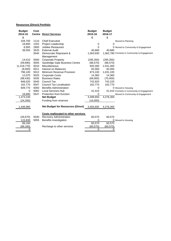## **Resources (Direct) Portfolio**

| <b>Budget</b> | Cost |                                            | <b>Budget</b> | <b>Budget</b> |                                              |
|---------------|------|--------------------------------------------|---------------|---------------|----------------------------------------------|
| 2014-15       |      | <b>Centre Direct Services</b>              | 2015-16       | 2016-17       |                                              |
| £             |      |                                            | £             | £             |                                              |
| 328,700       | 1110 | <b>Chief Executive</b>                     |               |               | Moved to Planning                            |
| 18,800        | 1202 | Project Leadership                         | 0             | 0             |                                              |
| 8,950         | 2900 | Jubilee Restaurant                         | 0             |               | 0 Moved to Community & Engagement            |
| 39,550        | 3520 | <b>External Audit</b>                      | 40,680        | 40,680        |                                              |
|               | 3540 | Democratic Represent &<br>Management       | 1,063,930     |               | 1,062,780 Formerly in Community & Engagement |
| 14,510        | 5000 | <b>Corporate Property</b>                  | (295, 350)    | (295, 350)    |                                              |
| (59, 690)     | 5005 | Sandridge Gate Business Centre             | (86, 570)     | (86, 570)     |                                              |
| (1,218,770)   | 5010 | Miscellaneous                              | 920,300       | 1,541,300     |                                              |
| (8,000)       | 5011 | Interest on Balances                       | 92,000        | 92,000        |                                              |
| 796,100       | 5012 | Minimum Revenue Provision                  | 873,100       | 1,031,100     |                                              |
| 12,070        | 5025 | <b>Corporate Costs</b>                     | 14,360        | 14,360        |                                              |
| (98, 430)     | 5035 | <b>Business Rates</b>                      | (69,900)      | (70, 400)     |                                              |
| 848,020       | 5040 | Council Tax                                | 742,920       | 742,220       |                                              |
| 162,770       | 5047 | <b>Council Tax Localisation</b>            | 162,770       | 162,770       |                                              |
| 609,770       | 5050 | <b>Benefits Administration</b>             | 0             |               | 0 Moved to Housing                           |
| $\Omega$      | 5062 | <b>Local Services Hub</b>                  | 41,410        |               | 41,410 Formerly in Community & Engagement    |
| 18,890        | 5547 | <b>Protection from Eviction</b>            | 0             |               | Moved to Community & Engagement              |
| 1,473,240     |      | <b>Net Budget</b>                          | 3,499,650     | 4,276,300     |                                              |
| (24, 260)     |      | Funding from reserves                      | (16,000)      |               |                                              |
| 1,448,980     |      | <b>Net Budget for Resources (Direct)</b>   | 3,483,650     | 4,276,300     |                                              |
|               |      | <b>Costs reallocated to other services</b> |               |               |                                              |
| (26, 670)     | 5030 | Recovery Administration                    | 60,570        | 60,570        |                                              |
| 115,830       | 5055 | Benefits investigation                     | 0             |               | 0 Moved to Housing                           |
| 89,160        |      |                                            | 60,570        | 60,570        |                                              |
| (89, 160)     |      | Recharge to other services                 | (60, 570)     | (60, 570)     |                                              |
| 0             |      |                                            | 0             | 0             |                                              |
|               |      |                                            |               |               |                                              |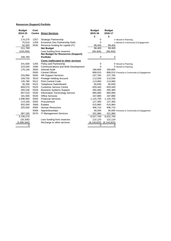## **Resources (Support) Portfolio**

| <b>Budget</b> | Cost |                                            | <b>Budget</b> | <b>Budget</b> |                                            |
|---------------|------|--------------------------------------------|---------------|---------------|--------------------------------------------|
| 2014-15       |      | <b>Centre</b> Direct Services              | 2015-16       | 2016-17       |                                            |
| £             |      |                                            | £             | £             |                                            |
| 174,270       | 1257 | Strategic Partnership                      | 0             |               | 0 Moved to Planning                        |
| 75,510        | 1259 | Economic Dev Partnership Deliv             | 0             |               | 0 Moved to Community & Engagement          |
| 62,000        | 5530 | Revenue funding for capital (IT)           | 99,400        | 99,400        |                                            |
| 311,780       |      | <b>Net Budget</b>                          | 99,400        | 99,400        |                                            |
| (105,000)     |      | Less funding from reserves                 | (99, 400)     | (99, 400)     |                                            |
|               |      | <b>Net Budget for Resources (Support)</b>  |               |               |                                            |
| 206,780       |      | <b>Portfolio</b>                           | 0             | 0             |                                            |
|               |      | <b>Costs reallocated to other services</b> |               |               |                                            |
| 241,500       | 1255 | Policy and Partnership                     | 0             |               | 0 Moved to Planning                        |
| 223,540       | 1590 | Communications and Web Development         | 0             |               | 0 Moved to Planning                        |
| 176,150       | 3500 | <b>Internal Audit</b>                      | 180,600       | 180,600       |                                            |
|               | 5500 | <b>Central Offices</b>                     | 808,010       |               | 808,010 Formerly in Community & Engagement |
| 233,990       | 5505 | <b>HR Support Services</b>                 | 237,760       | 237,760       |                                            |
| 109,750       | 5510 | Postage Holding Account                    | 112,030       | 112,030       |                                            |
| 135,780       | 5512 | <b>Print Central Code</b>                  | 113,060       | 113,060       |                                            |
| 45,290        | 5515 | <b>Telephone Switchboard</b>               | 65,830        | 65,830        |                                            |
| 809,570       | 5525 | <b>Customer Service Centre</b>             | 829,440       | 829,440       |                                            |
| 265,330       | 5528 | <b>Business Systems Support</b>            | 265,360       | 265,360       |                                            |
| 847,510       | 5530 | <b>Information Technology Service</b>      | 685,080       | 685,080       |                                            |
| 181,500       | 5535 | <b>Office Services</b>                     | 187,880       | 187,880       |                                            |
| 1,096,950     | 5550 | <b>Financial Services</b>                  | 1,125,700     | 1,120,700     |                                            |
| 114,160       | 5555 | Procurement                                | 127,300       | 127,300       |                                            |
| 502,540       | 5560 | <b>Estates</b>                             | 515,960       | 515,960       |                                            |
| 325,550       | 5565 | <b>Human Resources</b>                     | 406,710       | 406,710       |                                            |
|               | 5568 | Apprenticeships                            | 35,000        |               | 35,000 Formerly in Community & Engagement  |
| 397,160       | 5570 | <b>IT Management Services</b>              | 331,980       | 331,980       |                                            |
| 5,706,270     |      |                                            | 6,027,700     | 6,022,700     |                                            |
| (20, 330)     |      | Less funding from reserves                 | 122,120       | 122,120       |                                            |
| (5,685,940)   |      | Recharge to other services                 | (6, 149, 820) | (6, 144, 820) |                                            |
| 0             |      |                                            | 0             | 0             |                                            |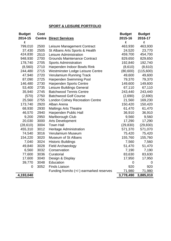# **SPORT & LEISURE PORTFOLIO**

| <b>Budget</b> | Cost          |                                          | <b>Budget</b> | <b>Budget</b> |
|---------------|---------------|------------------------------------------|---------------|---------------|
| 2014-15       | <b>Centre</b> | <b>Direct Services</b>                   | 2015-16       | 2016-17       |
| £             |               |                                          | £             | £             |
| 799,010       | 2500          | Leisure Management Contract              | 463,930       | 463,930       |
| 37,430        | 2505          | St Albans Arts Sports & Health           | 24,520        | 23,770        |
| 424,830       | 2510          | Leisure Administration                   | 459,700       | 454,700       |
| 948,930       | 2700          | <b>Grounds Maintenance Contract</b>      | 829,650       | 829,650       |
| 178,740       | 2705          | <b>Sports Administration</b>             | 192,840       | 192,740       |
| (8,560)       | 2710          | Harpenden Indoor Bowls Rink              | (8,610)       | (8,610)       |
| 244,480       | 2715          | Westminster Lodge Leisure Centre         | (80, 600)     | (115,600)     |
| 47,940        | 2720          | Verulamium Running Track                 | 49,600        | 49,600        |
| 87,090        | 2725          | <b>Harpenden Swimming Pool</b>           | 79,370        | 79,370        |
| 146,480       | 2730          | <b>Harpenden Sports Centre</b>           | 149,600       | 149,600       |
| 53,400        | 2735          | Leisure Buildings General                | 67,110        | 67,110        |
| 35,940        | 2745          | <b>Batchwood Tennis Centre</b>           | 243,440       | 243,440       |
| (570)         | 2750          | <b>Batchwood Golf Course</b>             | (2,690)       | (2,690)       |
| 25,560        | 2755          | <b>London Colney Recreation Centre</b>   | 21,560        | 169,230       |
| 173,740       | 2920          | Alban Arena                              | 150,420       | 150,420       |
| 68,930        | 2930          | <b>Maltings Arts Theatre</b>             | 61,470        | 61,470        |
| 46,570        | 2940          | Harpenden Public Hall                    | 36,910        | 36,910        |
| 9,200         | 2950          | Marlborough Club                         | 9,560         | 9,560         |
| 20,030        | 3000          | <b>Arts Development</b>                  | 17,290        | 17,290        |
| (28, 610)     | 3004          | <b>Town Hall</b>                         | (29, 830)     | (29, 830)     |
| 455,310       | 3012          | Heritage Administration                  | 571,370       | 571,070       |
| 74,540        | 3016          | Verulamium Museum                        | 75,420        | 75,420        |
| 154,220       | 3020          | Museum of St Albans                      | 155,760       | 155,760       |
| 7,040         | 3024          | <b>Historic Buildings</b>                | 7,560         | 7,560         |
| 49,840        | 3028          | <b>Field Archaeology</b>                 | 51,470        | 51,470        |
| 6,560         | 3032          | Conservation                             | 7,190         | 7,190         |
| 77,600        | 3036          | Curatorial                               | 83,630        | 83,630        |
| 17,600        | 3040          | Design & Display                         | 17,950        | 17,950        |
| 39,770        | 3048          | Education                                | 0             | 0             |
| 0             | 3052          | <b>Finds Liaison</b>                     | 920           | 920           |
|               |               | Funding from/to (+/-) earmarked reserves | 71,980        | 71,980        |
| 4,193,040     |               |                                          | 3,778,490     | 3,885,010     |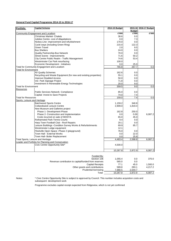## **General Fund Capital Programme 2014-15 to 2016-17**

| <b>Portfolio</b><br><b>Capital Scheme</b>                       | 2014-15 Budget |               | 2015-16 2016-17 Budget |  |
|-----------------------------------------------------------------|----------------|---------------|------------------------|--|
|                                                                 |                | <b>Budget</b> |                        |  |
| Community Engagement and Localism                               | £'000          | £'000         | £'000                  |  |
| <b>Christmas Market- Chalets</b>                                | 38.6           | 0.0           |                        |  |
| Jubilee Centre- cost of dilapidations                           | 0.0            | 7.3           |                        |  |
| Nickey Line- improvement and refurbishment                      | 170.0          | 0.0           |                        |  |
| Cycle ways (including Green Ring)                               | 215.0          | 122.3         |                        |  |
| Green Travel                                                    | 2.0            | 9.5           |                        |  |
| <b>Bus Shelters</b>                                             | 24.0           | 0.0           |                        |  |
| <b>Quality Partnership-Bus Network</b>                          | 70.0           | 0.0           |                        |  |
| <b>Street Scene - Improvements</b>                              | 71.6           | 50.2          |                        |  |
| City Centre Public Realm - Traffic Management                   | 74.6           | 53.4          |                        |  |
| Westminster Car Park resurfacing                                | 100.0          |               |                        |  |
| Economic Development - Initiatives                              | 0.0            | 25.0          |                        |  |
| Total for Community Engagement and Localism                     | 765.8          | 267.7         | 0.0                    |  |
| <b>Total for Environment</b>                                    |                |               |                        |  |
| <b>Air Quality Schemes</b>                                      | 162.6          | 0.0           |                        |  |
| Recycling and Waste Equipment (for new and existing properties) | 55.1           | 0.0           |                        |  |
| <b>Improve Disabled Access</b>                                  | 50.0           | 0.0           |                        |  |
| Ver. Park Signage Project                                       | 71.8           | 0.0           |                        |  |
| Investment in Renewable Energy Technologies                     | 20.0           | 9.0           |                        |  |
| <b>Total for Environment</b>                                    | 359.5          | 9.0           | 0.0                    |  |
| Resources                                                       |                |               |                        |  |
| Public Services Network- Compliance                             | 85.0           | 0.0           |                        |  |
| Capital - Invest to Save Projects                               | 74.0           | 7.4           |                        |  |
| <b>Total for Resources</b>                                      | 159.0          | 7.4           | 0.0                    |  |
| Sports, Leisure and Heritage                                    |                |               |                        |  |
| <b>Batchwood Sports Centre</b>                                  | 1,159.2        | 340.8         |                        |  |
| <b>Cotlandswick Leisure Centre</b>                              | 2,909.0        | 1,819.4       |                        |  |
| New Museum and Galleries project                                |                |               |                        |  |
| Phase 1- Development Phase                                      | 162.8          | 250.0         |                        |  |
| Phase 2- Construction and Implementation                        | 0.0            | 0.00          | 6,087.2                |  |
| Costs incurred on sale of MOSTA                                 | 65.0           | 45.0          |                        |  |
| <b>Rothamsted Park-Tennis Courts</b>                            | 9.4            | 0.0           |                        |  |
| Harp Town Football Club - Roof Repairs                          | 20.1           | 0.0           |                        |  |
| Leisure Buildings -Condition Survey Works & Refurbishments      | 69.9           | 85.7          |                        |  |
| Westminster Lodge equipment                                     | 12.1           |               |                        |  |
| Fleetville Open Space - Phase 2 (playground)                    | 76.0           | 0.0           |                        |  |
| Town Hall - External Works                                      | 0.0            | 22.0          |                        |  |
| Town Hall- Boiler Replacement                                   | 0.0            | 25.8          |                        |  |
| Total Sports, Leisure and Heritage                              | 4,483.4        | 2,588.8       | 6,087.2                |  |
| Leader and Portfolio for Planning and Conservation              |                |               |                        |  |
| Civic Centre Opportunity Site*                                  | 4,500.0        |               |                        |  |
|                                                                 |                |               |                        |  |
|                                                                 | 10,267.8       | 2,872.9       | 6,087.2                |  |
| Funded By:                                                      |                |               |                        |  |
| Section 106                                                     | 1,055.4        | 0.0           | 370.0                  |  |
| Revenue contribution to capital/funded from reserves            | 565.0          | 0.0           |                        |  |
| <b>Capital Receipts</b>                                         | 77.1           | 45.0          | 1,500.0                |  |
| Other grants and contributions                                  | 589.8          | 283.1         | 4,217.2                |  |
| Prudential borrowing                                            | 7,980.5        | 2,544.7       |                        |  |

Notes:

\* Civic Centre Opportunity Site is subject to approval by Council. This number includes acquistion costs and subsequent development work

Total 10,267.8 2,872.9 6,087.2

Programme excludes capital receipt expected from Ridgeview, which is not yet confirmed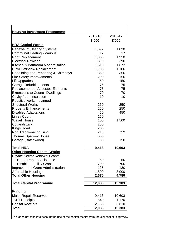| <b>Housing Investment Programme</b>                                        |                  |                  |
|----------------------------------------------------------------------------|------------------|------------------|
|                                                                            | 2015-16<br>£'000 | 2016-17<br>£'000 |
| <b>HRA Capital Works</b>                                                   |                  |                  |
| <b>Renewal of Heating Systems</b>                                          | 1,692            | 1,830            |
| <b>Communal Heating - Various</b>                                          | 17               | 17               |
| <b>Roof Replacement</b>                                                    | 1,350            | 1,350            |
| <b>Electrical Rewiring</b>                                                 | 390              | 390              |
| Kitchen & Bathroom Modernisation                                           | 1,510            | 1,672            |
| <b>UPVC Window Replacement</b>                                             | 1,106            | 1,106            |
| Repointing and Rendering & Chimneys                                        | 350              | 350              |
| <b>Fire Safety Improvements</b>                                            | 200              | 150              |
| <b>Lift Upgrades</b>                                                       | 50               | 150              |
| <b>Garage Refurbishments</b>                                               | 75               | 75               |
| <b>Replacement of Asbestos Elements</b>                                    | 75               | 75               |
| <b>Extensions to Council Dwellings</b>                                     | 70               | 70               |
| Cavity / Loft Insulation                                                   | 10               | 10               |
| Reactive works - planned                                                   |                  |                  |
| <b>Structural Works</b>                                                    | 250              | 250              |
| <b>Property Enhancements</b>                                               | 250              | 250              |
| <b>Disabled Adaptations</b>                                                | 450              | 450              |
| <b>Linley Court</b>                                                        | 150              |                  |
| <b>Wavell House</b>                                                        | 100              | 1,500            |
| Cotlandswick                                                               | 250              |                  |
| <b>Kings Road</b>                                                          | 250              |                  |
| Non Traditional housing                                                    | 218              | 759              |
| <b>Thomas Sparrow House</b>                                                | 500              |                  |
| Garage (Batchwood)                                                         | 100              | 150              |
|                                                                            |                  |                  |
| <b>Total HRA</b>                                                           | 9,413            | 10,603           |
| <b>Other Housing Capital Works</b><br><b>Private Sector Renewal Grants</b> |                  |                  |
|                                                                            |                  |                  |
| - Home Repair Assistance<br><b>Disabled Facility Grants</b>                | 50<br>700        | 50               |
|                                                                            | 125              | 700<br>130       |
| <b>Improvement Grant Administration</b><br>Affordable Housing              | 1,800            | 3,900            |
| <b>Total Other Housing</b>                                                 | 2,675            | 4,780            |
|                                                                            |                  |                  |
| <b>Total Capital Programme</b>                                             | 12,088           | 15,383           |
| <b>Funding</b>                                                             |                  |                  |
| <b>Major Repair Reserves</b>                                               | 9,413            | 10,603           |
| 1-4-1 Receipts                                                             | 540              |                  |
| <b>Capital Receipts</b>                                                    | 2,135            | 1,170            |
|                                                                            |                  | 3,610            |
| Total                                                                      | 12,088           | 15,383           |

This does not take into account the use of the capital receipt from the disposal of Ridgeview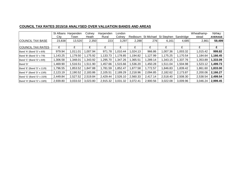# **COUNCIL TAX RATES 2015/16 ANALYSED OVER VALUATION BANDS AND AREAS**

|                            | St Albans | Harpenden | Colney   | Harpenden | London   |          |            |            |           | Wheathamp- | <b>TOTAL/</b>  |
|----------------------------|-----------|-----------|----------|-----------|----------|----------|------------|------------|-----------|------------|----------------|
|                            | City      | Town      | Heath    | Rural     | Colney   | Redbourn | St Michael | St Stephen | Sandridge | stead      | <b>AVERAGE</b> |
| <b>COUNCIL TAX BASE</b>    | 23,838    | 13,520    | 2,350    | 223       | 3,297    | 2,288    | 276        | 6,161      | 4,685     | 2,861      | 59,499         |
|                            |           |           |          |           |          |          |            |            |           |            |                |
| <b>COUNCIL TAX RATES</b>   | £         |           |          | £         |          | £        | £          |            | £         |            |                |
| Band 'A' (Band 'D' x 6/9)  | 979.94    | 1,011.01  | ,007.94  | 971.78    | 1,010.44 | 1,024.13 | 966.86     | 007.36     | 1,003.32  | 1,015.42   | 999.82         |
| Band 'B' (Band 'D' x 7/9)  | 1,143.25  | 1,179.50  | ,175.92  | 1,133.73  | 1,178.85 | 1,194.82 | 1,127.99   | 1,175.25   | 1,170.54  | 1,184.64   | 1,166.45       |
| Band 'C' (Band 'D' x 8/9)  | 1,306.58  | 1,348.01  | ,343.92  | 1,295.70  | 347.26   | 1,365.51 | 1,289.14   | 343.15, ا  | 1,337.76  | 1,353.89   | 1,333.09       |
| Band 'D'                   | ,469.90   | 1,516.51  | .511.90  | 1,457.66  | 1,515.66 | 1,536.20 | ,450.28    | 511.04.    | 1,504.98  | 1,523.12   | 1,499.73       |
| Band 'E' (Band 'D' x 11/9) | 1,796.55  | 1,853.52  | ,847.88  | 1,781.59  | 1,852.47 | 1,877.58 | 1,772.57   | 846.83.    | 1,839.42  | 1,861.60   | 1,833.00       |
| Band 'F' (Band 'D' x 13/9) | 2,123.19  | 2,190.52  | 2,183.86 | 2,105.51  | 2,189.29 | 2,218.96 | 2,094.85   | 2,182.62   | 2,173.87  | 2,200.06   | 2,166.27       |
| Band 'G' (Band 'D' x 15/9) | 2,449.84  | 2,527.52  | 2,519.84 | 2,429.44  | 2,526.10 | 2,560.33 | 2,417.14   | 2,518.40   | 2,508.30  | 2,538.54   | 2,499.54       |
| Band 'H' (Band 'D' x 18/9) | 2,939.80  | 3.033.02  | 3,023.80 | 2,915.32  | 3.031.32 | 3.072.41 | 2,900.56   | 3,022.08   | 3,009.96  | 3,046.24   | 2,999.45       |